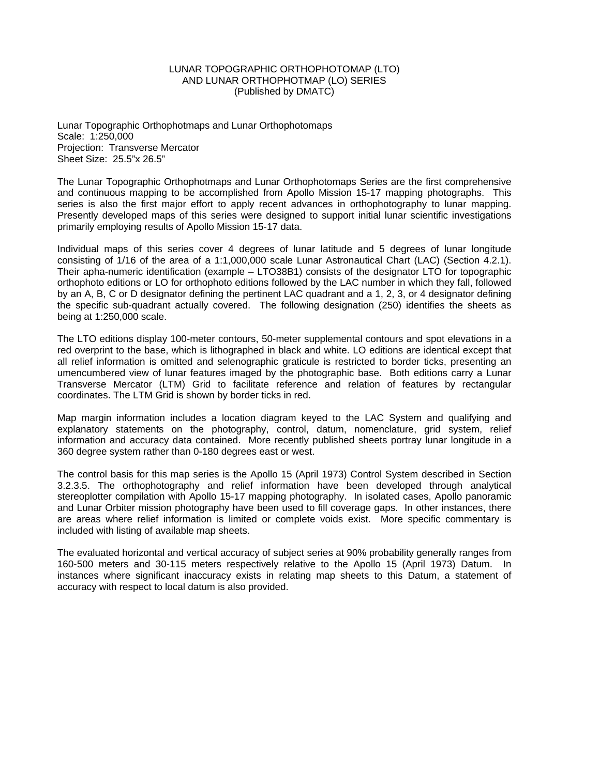## LUNAR TOPOGRAPHIC ORTHOPHOTOMAP (LTO) AND LUNAR ORTHOPHOTMAP (LO) SERIES (Published by DMATC)

Lunar Topographic Orthophotmaps and Lunar Orthophotomaps Scale: 1:250,000 Projection: Transverse Mercator Sheet Size: 25.5"x 26.5"

The Lunar Topographic Orthophotmaps and Lunar Orthophotomaps Series are the first comprehensive and continuous mapping to be accomplished from Apollo Mission 15-17 mapping photographs. This series is also the first major effort to apply recent advances in orthophotography to lunar mapping. Presently developed maps of this series were designed to support initial lunar scientific investigations primarily employing results of Apollo Mission 15-17 data.

Individual maps of this series cover 4 degrees of lunar latitude and 5 degrees of lunar longitude consisting of 1/16 of the area of a 1:1,000,000 scale Lunar Astronautical Chart (LAC) (Section 4.2.1). Their apha-numeric identification (example – LTO38B1) consists of the designator LTO for topographic orthophoto editions or LO for orthophoto editions followed by the LAC number in which they fall, followed by an A, B, C or D designator defining the pertinent LAC quadrant and a 1, 2, 3, or 4 designator defining the specific sub-quadrant actually covered. The following designation (250) identifies the sheets as being at 1:250,000 scale.

The LTO editions display 100-meter contours, 50-meter supplemental contours and spot elevations in a red overprint to the base, which is lithographed in black and white. LO editions are identical except that all relief information is omitted and selenographic graticule is restricted to border ticks, presenting an umencumbered view of lunar features imaged by the photographic base. Both editions carry a Lunar Transverse Mercator (LTM) Grid to facilitate reference and relation of features by rectangular coordinates. The LTM Grid is shown by border ticks in red.

Map margin information includes a location diagram keyed to the LAC System and qualifying and explanatory statements on the photography, control, datum, nomenclature, grid system, relief information and accuracy data contained. More recently published sheets portray lunar longitude in a 360 degree system rather than 0-180 degrees east or west.

The control basis for this map series is the Apollo 15 (April 1973) Control System described in Section 3.2.3.5. The orthophotography and relief information have been developed through analytical stereoplotter compilation with Apollo 15-17 mapping photography. In isolated cases, Apollo panoramic and Lunar Orbiter mission photography have been used to fill coverage gaps. In other instances, there are areas where relief information is limited or complete voids exist. More specific commentary is included with listing of available map sheets.

The evaluated horizontal and vertical accuracy of subject series at 90% probability generally ranges from 160-500 meters and 30-115 meters respectively relative to the Apollo 15 (April 1973) Datum. In instances where significant inaccuracy exists in relating map sheets to this Datum, a statement of accuracy with respect to local datum is also provided.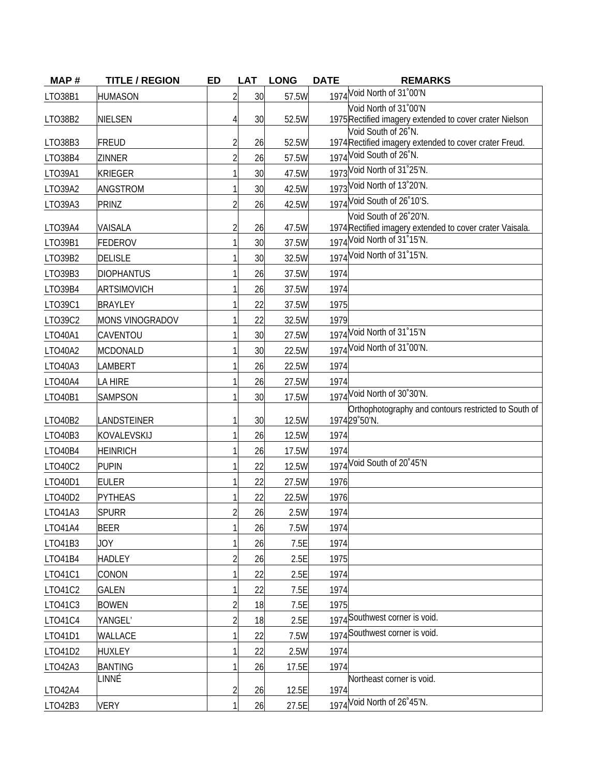| MAP#    | <b>TITLE / REGION</b>  | <b>ED</b>      | <b>LAT</b> | <b>LONG</b> | <b>DATE</b> | <b>REMARKS</b>                                                                 |
|---------|------------------------|----------------|------------|-------------|-------------|--------------------------------------------------------------------------------|
| LTO38B1 | <b>HUMASON</b>         |                | 30         | 57.5W       |             | 1974 Void North of 31'00'N                                                     |
|         |                        |                |            |             |             | Void North of 31°00'N                                                          |
| LTO38B2 | <b>NIELSEN</b>         | 4              | 30         | 52.5W       |             | 1975 Rectified imagery extended to cover crater Nielson<br>Void South of 26°N. |
| LTO38B3 | <b>FREUD</b>           | $\overline{2}$ | 26         | 52.5W       |             | 1974 Rectified imagery extended to cover crater Freud.                         |
| LTO38B4 | <b>ZINNER</b>          |                | 26         | 57.5W       |             | 1974 Void South of 26°N.                                                       |
| LTO39A1 | <b>KRIEGER</b>         |                | 30         | 47.5W       |             | 1973 Void North of 31°25'N.                                                    |
| LTO39A2 | ANGSTROM               |                | 30         | 42.5W       |             | 1973 Void North of 13'20'N.                                                    |
| LTO39A3 | PRINZ                  |                | 26         | 42.5W       |             | 1974 Void South of 26°10'S.                                                    |
|         |                        |                |            |             |             | Void South of 26°20'N.                                                         |
| LTO39A4 | VAISALA                | $\overline{2}$ | 26         | 47.5W       |             | 1974 Rectified imagery extended to cover crater Vaisala.                       |
| LTO39B1 | <b>FEDEROV</b>         |                | 30         | 37.5W       |             | 1974 Void North of 31°15'N.                                                    |
| LTO39B2 | <b>DELISLE</b>         |                | 30         | 32.5W       |             | 1974 Void North of 31°15'N.                                                    |
| LTO39B3 | <b>DIOPHANTUS</b>      |                | 26         | 37.5W       | 1974        |                                                                                |
| LTO39B4 | <b>ARTSIMOVICH</b>     |                | 26         | 37.5W       | 1974        |                                                                                |
| LT039C1 | <b>BRAYLEY</b>         |                | 22         | 37.5W       | 1975        |                                                                                |
| LT039C2 | <b>MONS VINOGRADOV</b> |                | 22         | 32.5W       | 1979        |                                                                                |
| LTO40A1 | CAVENTOU               |                | 30         | 27.5W       |             | 1974 Void North of 31°15'N                                                     |
| LTO40A2 | <b>MCDONALD</b>        |                | 30         | 22.5W       |             | 1974 Void North of 31°00'N.                                                    |
| LTO40A3 | LAMBERT                |                | 26         | 22.5W       | 1974        |                                                                                |
| LTO40A4 | LA HIRE                |                | 26         | 27.5W       | 1974        |                                                                                |
| LTO40B1 | <b>SAMPSON</b>         |                | 30         | 17.5W       |             | 1974 Void North of 30°30'N.                                                    |
| LTO40B2 | LANDSTEINER            | 1              | 30         | 12.5W       |             | Orthophotography and contours restricted to South of<br>197429°50'N.           |
| LTO40B3 | KOVALEVSKIJ            |                | 26         | 12.5W       | 1974        |                                                                                |
| LTO40B4 | <b>HEINRICH</b>        |                | 26         | 17.5W       | 1974        |                                                                                |
| LTO40C2 | <b>PUPIN</b>           |                | 22         | 12.5W       |             | 1974 Void South of 20°45'N                                                     |
| LTO40D1 | <b>EULER</b>           |                | 22         | 27.5W       | 1976        |                                                                                |
| LTO40D2 | <b>PYTHEAS</b>         |                | 22         | 22.5W       | 1976        |                                                                                |
| LTO41A3 | <b>SPURR</b>           |                | 26         | 2.5W        | 1974        |                                                                                |
| LTO41A4 | <b>BEER</b>            |                | 26         | 7.5W        | 1974        |                                                                                |
| LTO41B3 | <b>JOY</b>             |                | 26         | 7.5E        | 1974        |                                                                                |
| LTO41B4 | <b>HADLEY</b>          |                | 26         | 2.5E        | 1975        |                                                                                |
| LT041C1 | CONON                  |                | 22         | 2.5E        | 1974        |                                                                                |
| LT041C2 | <b>GALEN</b>           |                | 22         | 7.5E        | 1974        |                                                                                |
| LT041C3 | <b>BOWEN</b>           |                | 18         | 7.5E        | 1975        |                                                                                |
| LTO41C4 | YANGEL'                |                | 18         | 2.5E        |             | 1974 Southwest corner is void.                                                 |
| LTO41D1 | WALLACE                |                | 22         | 7.5W        |             | 1974 Southwest corner is void.                                                 |
| LTO41D2 | <b>HUXLEY</b>          |                | 22         | 2.5W        | 1974        |                                                                                |
| LTO42A3 | <b>BANTING</b>         |                | 26         | 17.5E       | 1974        |                                                                                |
|         | LINNÉ                  |                |            |             |             | Northeast corner is void.                                                      |
| LTO42A4 |                        | $\overline{2}$ | 26         | 12.5E       | 1974        |                                                                                |
| LTO42B3 | <b>VERY</b>            |                | 26         | 27.5E       |             | 1974 Void North of 26°45'N.                                                    |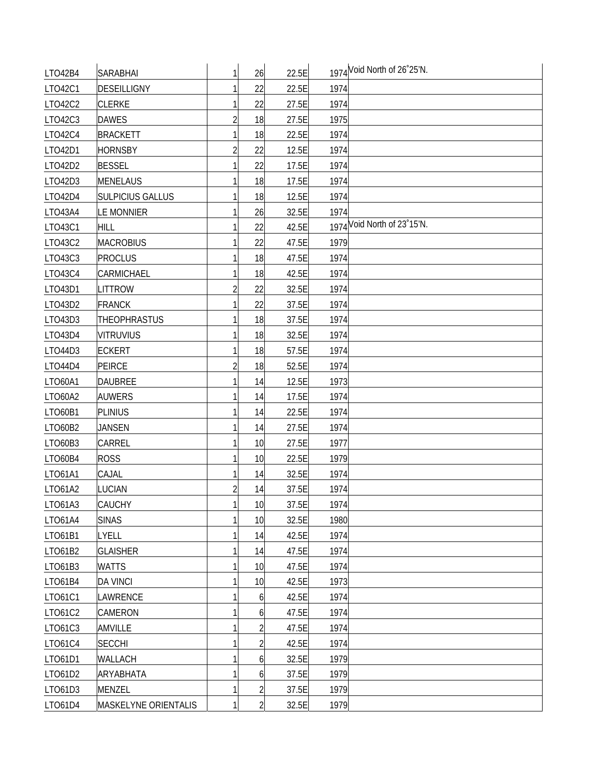| LTO42B4 | <b>SARABHAI</b>         | 1 | 26             | 22.5E |      | 1974 Void North of 26°25'N. |
|---------|-------------------------|---|----------------|-------|------|-----------------------------|
| LTO42C1 | DESEILLIGNY             |   | 22             | 22.5E | 1974 |                             |
| LT042C2 | <b>CLERKE</b>           |   | 22             | 27.5E | 1974 |                             |
| LTO42C3 | <b>DAWES</b>            |   | 18             | 27.5E | 1975 |                             |
| LTO42C4 | <b>BRACKETT</b>         |   | 18             | 22.5E | 1974 |                             |
| LT042D1 | <b>HORNSBY</b>          | 2 | 22             | 12.5E | 1974 |                             |
| LTO42D2 | <b>BESSEL</b>           |   | 22             | 17.5E | 1974 |                             |
| LTO42D3 | <b>MENELAUS</b>         |   | 18             | 17.5E | 1974 |                             |
| LTO42D4 | <b>SULPICIUS GALLUS</b> |   | 18             | 12.5E | 1974 |                             |
| LTO43A4 | <b>LE MONNIER</b>       |   | 26             | 32.5E | 1974 |                             |
| LTO43C1 | <b>HILL</b>             |   | 22             | 42.5E |      | 1974 Void North of 23 15'N. |
| LT043C2 | <b>MACROBIUS</b>        |   | 22             | 47.5E | 1979 |                             |
| LTO43C3 | <b>PROCLUS</b>          |   | 18             | 47.5E | 1974 |                             |
| LTO43C4 | CARMICHAEL              |   | 18             | 42.5E | 1974 |                             |
| LTO43D1 | <b>LITTROW</b>          | 2 | 22             | 32.5E | 1974 |                             |
| LTO43D2 | <b>FRANCK</b>           |   | 22             | 37.5E | 1974 |                             |
| LTO43D3 | <b>THEOPHRASTUS</b>     |   | 18             | 37.5E | 1974 |                             |
| LTO43D4 | <b>VITRUVIUS</b>        |   | 18             | 32.5E | 1974 |                             |
| LTO44D3 | <b>ECKERT</b>           |   | 18             | 57.5E | 1974 |                             |
| LTO44D4 | PEIRCE                  |   | 18             | 52.5E | 1974 |                             |
| LTO60A1 | <b>DAUBREE</b>          |   | 14             | 12.5E | 1973 |                             |
| LTO60A2 | <b>AUWERS</b>           |   | 14             | 17.5E | 1974 |                             |
| LTO60B1 | <b>PLINIUS</b>          |   | 14             | 22.5E | 1974 |                             |
| LTO60B2 | <b>JANSEN</b>           |   | 14             | 27.5E | 1974 |                             |
| LTO60B3 | <b>CARREL</b>           |   | 10             | 27.5E | 1977 |                             |
| LTO60B4 | <b>ROSS</b>             |   | 10             | 22.5E | 1979 |                             |
| LT061A1 | CAJAL                   |   | 14             | 32.5E | 1974 |                             |
| LT061A2 | <b>LUCIAN</b>           |   | 14             | 37.5E | 1974 |                             |
| LTO61A3 | <b>CAUCHY</b>           |   | 10             | 37.5E | 1974 |                             |
| LT061A4 | <b>SINAS</b>            | 1 | 10             | 32.5E | 1980 |                             |
| LT061B1 | LYELL                   |   | 14             | 42.5E | 1974 |                             |
| LT061B2 | <b>GLAISHER</b>         |   | 14             | 47.5E | 1974 |                             |
| LTO61B3 | <b>WATTS</b>            |   | 10             | 47.5E | 1974 |                             |
| LTO61B4 | <b>DA VINCI</b>         |   | 10             | 42.5E | 1973 |                             |
| LT061C1 | LAWRENCE                |   | 6              | 42.5E | 1974 |                             |
| LT061C2 | <b>CAMERON</b>          |   | 6              | 47.5E | 1974 |                             |
| LTO61C3 | AMVILLE                 |   | $\overline{2}$ | 47.5E | 1974 |                             |
| LTO61C4 | <b>SECCHI</b>           |   | $\overline{2}$ | 42.5E | 1974 |                             |
| LTO61D1 | WALLACH                 |   | 6              | 32.5E | 1979 |                             |
| LTO61D2 | ARYABHATA               |   | 6              | 37.5E | 1979 |                             |
| LTO61D3 | MENZEL                  |   | $\overline{2}$ | 37.5E | 1979 |                             |
| LTO61D4 | MASKELYNE ORIENTALIS    | 1 | $\overline{2}$ | 32.5E | 1979 |                             |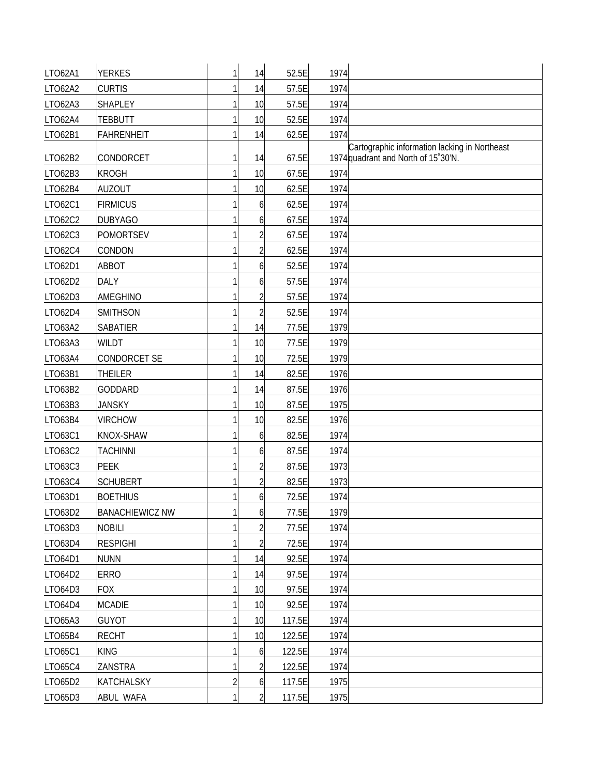| LT062A1 | <b>YERKES</b>          | $\mathbf{1}$   | 14             | 52.5E  | 1974 |                                                                                      |
|---------|------------------------|----------------|----------------|--------|------|--------------------------------------------------------------------------------------|
| LTO62A2 | <b>CURTIS</b>          |                | 14             | 57.5E  | 1974 |                                                                                      |
| LTO62A3 | <b>SHAPLEY</b>         |                | 10             | 57.5E  | 1974 |                                                                                      |
| LTO62A4 | <b>TEBBUTT</b>         |                | 10             | 52.5E  | 1974 |                                                                                      |
| LT062B1 | <b>FAHRENHEIT</b>      |                | 14             | 62.5E  | 1974 |                                                                                      |
| LT062B2 | CONDORCET              | 1              | 14             | 67.5E  |      | Cartographic information lacking in Northeast<br>1974 quadrant and North of 15°30'N. |
| LTO62B3 | <b>KROGH</b>           | 1              | 10             | 67.5E  | 1974 |                                                                                      |
| LTO62B4 | <b>AUZOUT</b>          |                | 10             | 62.5E  | 1974 |                                                                                      |
| LT062C1 | <b>FIRMICUS</b>        |                | 6              | 62.5E  | 1974 |                                                                                      |
| LT062C2 | <b>DUBYAGO</b>         |                | 6              | 67.5E  | 1974 |                                                                                      |
| LT062C3 | <b>POMORTSEV</b>       |                | $\overline{2}$ | 67.5E  | 1974 |                                                                                      |
| LT062C4 | CONDON                 |                | $\overline{2}$ | 62.5E  | 1974 |                                                                                      |
| LT062D1 | ABBOT                  |                | 6              | 52.5E  | 1974 |                                                                                      |
| LTO62D2 | <b>DALY</b>            |                | 6              | 57.5E  | 1974 |                                                                                      |
| LTO62D3 | <b>AMEGHINO</b>        |                | 2              | 57.5E  | 1974 |                                                                                      |
| LT062D4 | <b>SMITHSON</b>        |                | $\overline{2}$ | 52.5E  | 1974 |                                                                                      |
| LT063A2 | <b>SABATIER</b>        |                | 14             | 77.5E  | 1979 |                                                                                      |
| LTO63A3 | <b>WILDT</b>           |                | 10             | 77.5E  | 1979 |                                                                                      |
| LTO63A4 | CONDORCET SE           |                | 10             | 72.5E  | 1979 |                                                                                      |
| LTO63B1 | <b>THEILER</b>         |                | 14             | 82.5E  | 1976 |                                                                                      |
| LT063B2 | <b>GODDARD</b>         |                | 14             | 87.5E  | 1976 |                                                                                      |
| LTO63B3 | <b>JANSKY</b>          |                | 10             | 87.5E  | 1975 |                                                                                      |
| LTO63B4 | <b>VIRCHOW</b>         |                | 10             | 82.5E  | 1976 |                                                                                      |
| LT063C1 | KNOX-SHAW              |                | 6              | 82.5E  | 1974 |                                                                                      |
| LT063C2 | <b>TACHINNI</b>        |                | 6              | 87.5E  | 1974 |                                                                                      |
| LT063C3 | <b>PEEK</b>            |                | $\overline{2}$ | 87.5E  | 1973 |                                                                                      |
| LT063C4 | <b>SCHUBERT</b>        |                | $\overline{2}$ | 82.5E  | 1973 |                                                                                      |
| LT063D1 | <b>BOETHIUS</b>        | 1              | 6              | 72.5E  | 1974 |                                                                                      |
| LTO63D2 | <b>BANACHIEWICZ NW</b> | 1              | 6              | 77.5E  | 1979 |                                                                                      |
| LTO63D3 | <b>NOBILI</b>          |                | $\overline{c}$ | 77.5E  | 1974 |                                                                                      |
| LTO63D4 | <b>RESPIGHI</b>        | 1              | $\overline{2}$ | 72.5E  | 1974 |                                                                                      |
| LTO64D1 | <b>NUNN</b>            |                | 14             | 92.5E  | 1974 |                                                                                      |
| LT064D2 | <b>ERRO</b>            |                | 14             | 97.5E  | 1974 |                                                                                      |
| LTO64D3 | <b>FOX</b>             |                | 10             | 97.5E  | 1974 |                                                                                      |
| LTO64D4 | <b>MCADIE</b>          |                | 10             | 92.5E  | 1974 |                                                                                      |
| LTO65A3 | <b>GUYOT</b>           |                | 10             | 117.5E | 1974 |                                                                                      |
| LTO65B4 | <b>RECHT</b>           |                | 10             | 122.5E | 1974 |                                                                                      |
| LT065C1 | <b>KING</b>            |                | 6              | 122.5E | 1974 |                                                                                      |
| LTO65C4 | ZANSTRA                |                | $\overline{2}$ | 122.5E | 1974 |                                                                                      |
| LTO65D2 | <b>KATCHALSKY</b>      | $\overline{c}$ | 6              | 117.5E | 1975 |                                                                                      |
| LTO65D3 | ABUL WAFA              | 1              | $\overline{2}$ | 117.5E | 1975 |                                                                                      |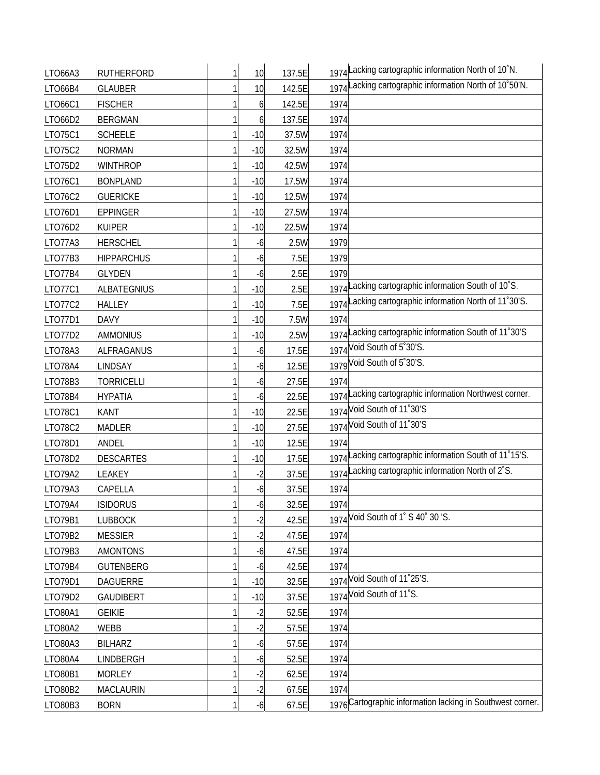| LTO66A3 | <b>RUTHERFORD</b> | 1 | 10    | 137.5E | 1974 Lacking cartographic information North of 10°N.       |
|---------|-------------------|---|-------|--------|------------------------------------------------------------|
| LTO66B4 | <b>GLAUBER</b>    |   | 10    | 142.5E | 1974 Lacking cartographic information North of 10°50'N.    |
| LT066C1 | <b>FISCHER</b>    |   | 6     | 142.5E | 1974                                                       |
| LTO66D2 | <b>BERGMAN</b>    |   | 6     | 137.5E | 1974                                                       |
| LT075C1 | <b>SCHEELE</b>    |   | $-10$ | 37.5W  | 1974                                                       |
| LT075C2 | <b>NORMAN</b>     |   | $-10$ | 32.5W  | 1974                                                       |
| LTO75D2 | <b>WINTHROP</b>   |   | $-10$ | 42.5W  | 1974                                                       |
| LT076C1 | <b>BONPLAND</b>   |   | $-10$ | 17.5W  | 1974                                                       |
| LT076C2 | <b>GUERICKE</b>   |   | $-10$ | 12.5W  | 1974                                                       |
| LT076D1 | <b>EPPINGER</b>   |   | $-10$ | 27.5W  | 1974                                                       |
| LTO76D2 | <b>KUIPER</b>     |   | $-10$ | 22.5W  | 1974                                                       |
| LTO77A3 | <b>HERSCHEL</b>   |   | $-6$  | 2.5W   | 1979                                                       |
| LTO77B3 | <b>HIPPARCHUS</b> |   | -6    | 7.5E   | 1979                                                       |
| LTO77B4 | <b>GLYDEN</b>     |   | -6    | 2.5E   | 1979                                                       |
| LT077C1 | ALBATEGNIUS       |   | $-10$ | 2.5E   | 1974 Lacking cartographic information South of 10°S.       |
| LT077C2 | <b>HALLEY</b>     |   | $-10$ | 7.5E   | 1974 Lacking cartographic information North of 11°30'S.    |
| LT077D1 | <b>DAVY</b>       |   | $-10$ | 7.5W   | 1974                                                       |
| LTO77D2 | <b>AMMONIUS</b>   |   | $-10$ | 2.5W   | 1974 Lacking cartographic information South of 11°30'S     |
| LTO78A3 | ALFRAGANUS        |   | -6    | 17.5E  | 1974 Void South of 5°30'S.                                 |
| LTO78A4 | LINDSAY           |   | $-6$  | 12.5E  | 1979 Void South of 5°30'S.                                 |
| LTO78B3 | <b>TORRICELLI</b> |   | -6    | 27.5E  | 1974                                                       |
| LTO78B4 | <b>HYPATIA</b>    |   | -6    | 22.5E  | 1974 Lacking cartographic information Northwest corner.    |
| LTO78C1 | KANT              |   | $-10$ | 22.5E  | 1974 Void South of 11°30'S                                 |
| LTO78C2 | <b>MADLER</b>     |   | $-10$ | 27.5E  | 1974 Void South of 11°30'S                                 |
| LT078D1 | ANDEL             |   | $-10$ | 12.5E  | 1974                                                       |
| LTO78D2 | <b>DESCARTES</b>  |   | $-10$ | 17.5E  | 1974 Lacking cartographic information South of 11°15'S.    |
| LTO79A2 | <b>EAKEY</b>      |   | $-2$  | 37.5E  | 1974 Lacking cartographic information North of 2°S.        |
| LTO79A3 | CAPELLA           |   | $-6$  | 37.5E  | 1974                                                       |
| LTO79A4 | <b>ISIDORUS</b>   |   | $-6$  | 32.5E  | 1974                                                       |
| LT079B1 | <b>LUBBOCK</b>    |   | $-2$  | 42.5E  | 1974 Void South of 1' S 40' 30 'S.                         |
| LTO79B2 | <b>MESSIER</b>    |   | $-2$  | 47.5E  | 1974                                                       |
| LTO79B3 | <b>AMONTONS</b>   |   | -6    | 47.5E  | 1974                                                       |
| LTO79B4 | <b>GUTENBERG</b>  |   | $-6$  | 42.5E  | 1974                                                       |
| LT079D1 | <b>DAGUERRE</b>   |   | $-10$ | 32.5E  | 1974 Void South of 11°25'S.                                |
| LTO79D2 | <b>GAUDIBERT</b>  |   | $-10$ | 37.5E  | 1974 Void South of 11°S.                                   |
| LTO80A1 | <b>GEIKIE</b>     |   | $-2$  | 52.5E  | 1974                                                       |
| LTO80A2 | WEBB              |   | $-2$  | 57.5E  | 1974                                                       |
| LTO80A3 | <b>BILHARZ</b>    |   | -6    | 57.5E  | 1974                                                       |
| LTO80A4 | <b>INDBERGH</b>   |   | -6    | 52.5E  | 1974                                                       |
| LTO80B1 | <b>MORLEY</b>     |   | $-2$  | 62.5E  | 1974                                                       |
| LTO80B2 | <b>MACLAURIN</b>  |   | $-2$  | 67.5E  | 1974                                                       |
| LTO80B3 | <b>BORN</b>       |   | $-6$  | 67.5E  | 1976 Cartographic information lacking in Southwest corner. |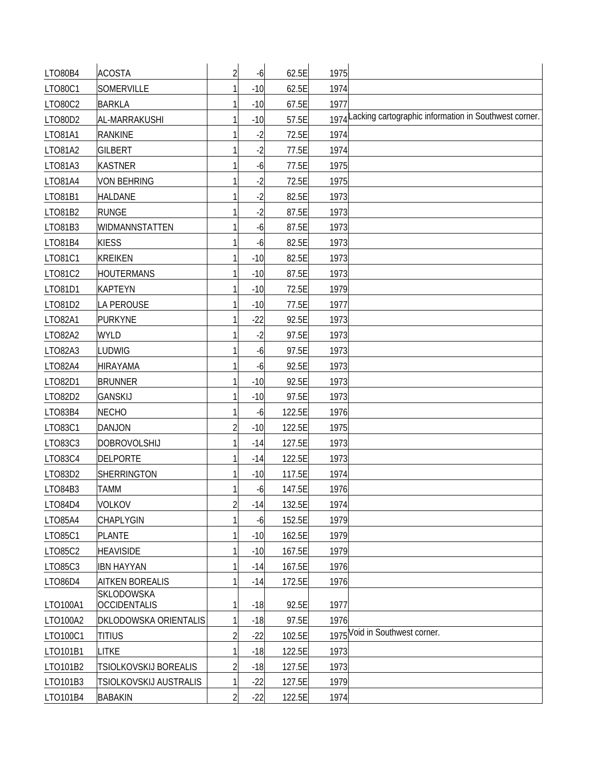| LTO80B4  | <b>ACOSTA</b>                            | $\overline{2}$ | $-6$  | 62.5E  | 1975 |                                                            |
|----------|------------------------------------------|----------------|-------|--------|------|------------------------------------------------------------|
| LTO80C1  | SOMERVILLE                               |                | $-10$ | 62.5E  | 1974 |                                                            |
| LT080C2  | <b>BARKLA</b>                            |                | $-10$ | 67.5E  | 1977 |                                                            |
| LTO80D2  | AL-MARRAKUSHI                            |                | $-10$ | 57.5E  |      | 1974 Lacking cartographic information in Southwest corner. |
| LT081A1  | <b>RANKINE</b>                           |                | $-2$  | 72.5E  | 1974 |                                                            |
| LTO81A2  | <b>GILBERT</b>                           |                | $-2$  | 77.5E  | 1974 |                                                            |
| LTO81A3  | <b>KASTNER</b>                           |                | -6    | 77.5E  | 1975 |                                                            |
| LT081A4  | <b>VON BEHRING</b>                       |                | $-2$  | 72.5E  | 1975 |                                                            |
| LT081B1  | <b>HALDANE</b>                           |                | $-2$  | 82.5E  | 1973 |                                                            |
| LT081B2  | <b>RUNGE</b>                             |                | $-2$  | 87.5E  | 1973 |                                                            |
| LTO81B3  | WIDMANNSTATTEN                           |                | -6    | 87.5E  | 1973 |                                                            |
| LTO81B4  | <b>KIESS</b>                             |                | -6    | 82.5E  | 1973 |                                                            |
| LT081C1  | <b>KREIKEN</b>                           |                | $-10$ | 82.5E  | 1973 |                                                            |
| LT081C2  | <b>HOUTERMANS</b>                        |                | $-10$ | 87.5E  | 1973 |                                                            |
| LT081D1  | <b>KAPTEYN</b>                           |                | $-10$ | 72.5E  | 1979 |                                                            |
| LT081D2  | <b>LA PEROUSE</b>                        |                | $-10$ | 77.5E  | 1977 |                                                            |
| LT082A1  | <b>PURKYNE</b>                           |                | $-22$ | 92.5E  | 1973 |                                                            |
| LT082A2  | <b>WYLD</b>                              |                | $-2$  | 97.5E  | 1973 |                                                            |
| LTO82A3  | <b>LUDWIG</b>                            |                | -6    | 97.5E  | 1973 |                                                            |
| LT082A4  | <b>HIRAYAMA</b>                          |                | -6    | 92.5E  | 1973 |                                                            |
| LT082D1  | <b>BRUNNER</b>                           |                | $-10$ | 92.5E  | 1973 |                                                            |
| LTO82D2  | <b>GANSKIJ</b>                           |                | $-10$ | 97.5E  | 1973 |                                                            |
| LTO83B4  | <b>NECHO</b>                             |                | $-6$  | 122.5E | 1976 |                                                            |
| LT083C1  | <b>DANJON</b>                            |                | $-10$ | 122.5E | 1975 |                                                            |
| LT083C3  | <b>DOBROVOLSHIJ</b>                      |                | $-14$ | 127.5E | 1973 |                                                            |
| LT083C4  | <b>DELPORTE</b>                          |                | $-14$ | 122.5E | 1973 |                                                            |
| LTO83D2  | <b>SHERRINGTON</b>                       |                | $-10$ | 117.5E | 1974 |                                                            |
| LTO84B3  | <b>TAMM</b>                              |                | $-6$  | 147.5E | 1976 |                                                            |
| LTO84D4  | <b>VOLKOV</b>                            | $\overline{c}$ | $-14$ | 132.5E | 1974 |                                                            |
| LTO85A4  | CHAPLYGIN                                |                | $-6$  | 152.5E | 1979 |                                                            |
| LT085C1  | <b>PLANTE</b>                            |                | $-10$ | 162.5E | 1979 |                                                            |
| LTO85C2  | <b>HEAVISIDE</b>                         |                | $-10$ | 167.5E | 1979 |                                                            |
| LTO85C3  | <b>IBN HAYYAN</b>                        |                | $-14$ | 167.5E | 1976 |                                                            |
| LTO86D4  | <b>AITKEN BOREALIS</b>                   |                | $-14$ | 172.5E | 1976 |                                                            |
| LTO100A1 | <b>SKLODOWSKA</b><br><b>OCCIDENTALIS</b> |                | $-18$ | 92.5E  | 1977 |                                                            |
| LTO100A2 | <b>DKLODOWSKA ORIENTALIS</b>             |                | $-18$ | 97.5E  | 1976 |                                                            |
| LTO100C1 | <b>TITIUS</b>                            | $\overline{2}$ | $-22$ | 102.5E |      | 1975 Void in Southwest corner.                             |
| LTO101B1 | <b>LITKE</b>                             |                | $-18$ | 122.5E | 1973 |                                                            |
| LTO101B2 | TSIOLKOVSKIJ BOREALIS                    |                | $-18$ | 127.5E | 1973 |                                                            |
| LTO101B3 | TSIOLKOVSKIJ AUSTRALIS                   |                | $-22$ | 127.5E | 1979 |                                                            |
| LTO101B4 | <b>BABAKIN</b>                           | 2              | $-22$ | 122.5E | 1974 |                                                            |
|          |                                          |                |       |        |      |                                                            |